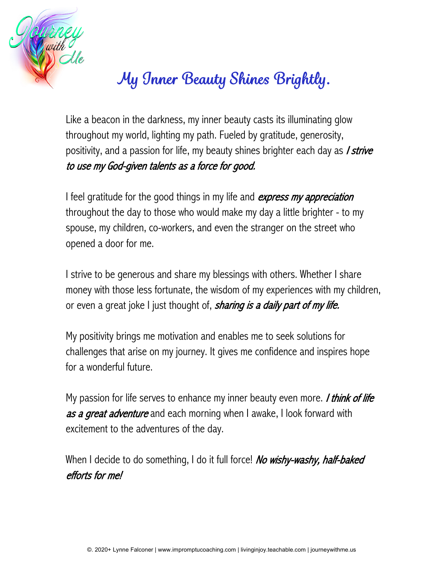

## *My Inner Beauty Shines Brightly.*

Like a beacon in the darkness, my inner beauty casts its illuminating glow throughout my world, lighting my path. Fueled by gratitude, generosity, positivity, and a passion for life, my beauty shines brighter each day as *I strive* to use my God-given talents as a force for good.

I feel gratitude for the good things in my life and express my appreciation throughout the day to those who would make my day a little brighter - to my spouse, my children, co-workers, and even the stranger on the street who opened a door for me.

I strive to be generous and share my blessings with others. Whether I share money with those less fortunate, the wisdom of my experiences with my children, or even a great joke I just thought of, *sharing is a daily part of my life.* 

My positivity brings me motivation and enables me to seek solutions for challenges that arise on my journey. It gives me confidence and inspires hope for a wonderful future.

My passion for life serves to enhance my inner beauty even more. *I think of life* as a great adventure and each morning when I awake, I look forward with excitement to the adventures of the day.

When I decide to do something, I do it full force! No wishy-washy, half-baked efforts for me!